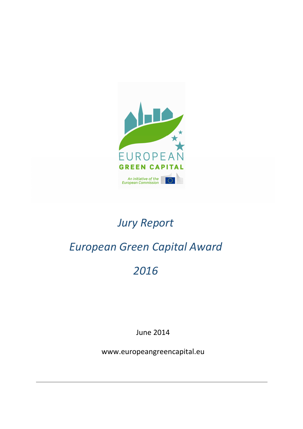

# *Jury Report*

# *European Green Capital Award*

# *2016*

June 2014

www.europeangreencapital.eu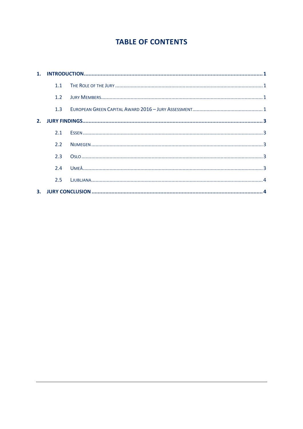# **TABLE OF CONTENTS**

| 1 <sub>1</sub> |     |  |  |
|----------------|-----|--|--|
|                | 1.1 |  |  |
|                | 1.2 |  |  |
|                | 1.3 |  |  |
| 2.             |     |  |  |
|                | 2.1 |  |  |
|                | 2.2 |  |  |
|                | 2.3 |  |  |
|                | 2.4 |  |  |
|                | 2.5 |  |  |
| 3.             |     |  |  |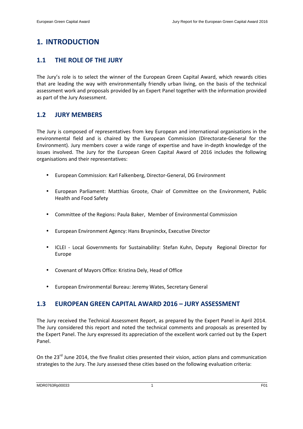## **1. INTRODUCTION**

### **1.1 THE ROLE OF THE JURY**

The Jury's role is to select the winner of the European Green Capital Award, which rewards cities that are leading the way with environmentally friendly urban living, on the basis of the technical assessment work and proposals provided by an Expert Panel together with the information provided as part of the Jury Assessment.

### **1.2 JURY MEMBERS**

The Jury is composed of representatives from key European and international organisations in the environmental field and is chaired by the European Commission (Directorate-General for the Environment). Jury members cover a wide range of expertise and have in-depth knowledge of the issues involved. The Jury for the European Green Capital Award of 2016 includes the following organisations and their representatives:

- European Commission: Karl Falkenberg, Director-General, DG Environment
- European Parliament: Matthias Groote, Chair of Committee on the Environment, Public Health and Food Safety
- Committee of the Regions: Paula Baker, Member of Environmental Commission
- European Environment Agency: Hans Bruyninckx, Executive Director
- ICLEI Local Governments for Sustainability: Stefan Kuhn, Deputy Regional Director for Europe
- Covenant of Mayors Office: Kristina Dely, Head of Office
- European Environmental Bureau: Jeremy Wates, Secretary General

### **1.3 EUROPEAN GREEN CAPITAL AWARD 2016 – JURY ASSESSMENT**

The Jury received the Technical Assessment Report, as prepared by the Expert Panel in April 2014. The Jury considered this report and noted the technical comments and proposals as presented by the Expert Panel. The Jury expressed its appreciation of the excellent work carried out by the Expert Panel.

On the 23<sup>rd</sup> June 2014, the five finalist cities presented their vision, action plans and communication strategies to the Jury. The Jury assessed these cities based on the following evaluation criteria: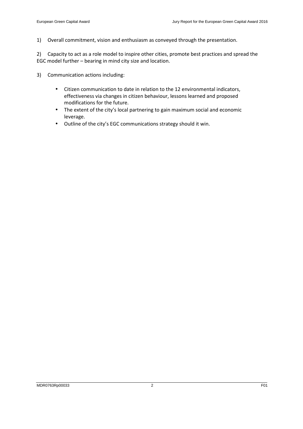1) Overall commitment, vision and enthusiasm as conveyed through the presentation.

2) Capacity to act as a role model to inspire other cities, promote best practices and spread the EGC model further – bearing in mind city size and location.

- 3) Communication actions including:
	- Citizen communication to date in relation to the 12 environmental indicators, effectiveness via changes in citizen behaviour, lessons learned and proposed modifications for the future.
	- The extent of the city's local partnering to gain maximum social and economic leverage.
	- Outline of the city's EGC communications strategy should it win.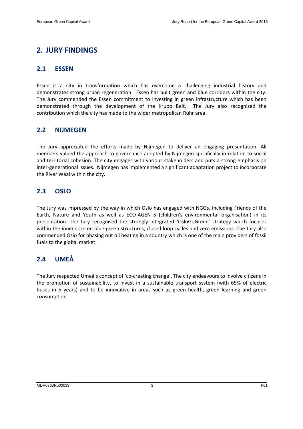## **2. JURY FINDINGS**

#### **2.1 ESSEN**

Essen is a city in transformation which has overcome a challenging industrial history and demonstrates strong urban regeneration. Essen has built green and blue corridors within the city. The Jury commended the Essen commitment to investing in green infrastructure which has been demonstrated through the development of the Krupp Belt. The Jury also recognised the contribution which the city has made to the wider metropolitan Ruhr area.

### **2.2 NIJMEGEN**

The Jury appreciated the efforts made by Nijmegen to deliver an engaging presentation. All members valued the approach to governance adopted by Nijmegen specifically in relation to social and territorial cohesion. The city engages with various stakeholders and puts a strong emphasis on inter-generational issues. Nijmegen has implemented a significant adaptation project to incorporate the River Waal within the city.

## **2.3 OSLO**

The Jury was impressed by the way in which Oslo has engaged with NGOs, including Friends of the Earth, Nature and Youth as well as ECO-AGENTS (children's environmental organisation) in its presentation. The Jury recognised the strongly integrated 'OsloGoGreen' strategy which focuses within the inner core on blue-green structures, closed loop cycles and zero emissions. The Jury also commended Oslo for phasing out oil heating in a country which is one of the main providers of fossil fuels to the global market.

## **2.4 UMEÅ**

The Jury respected Umeå's concept of 'co-creating change'. The city endeavours to involve citizens in the promotion of sustainability, to invest in a sustainable transport system (with 65% of electric buses in 5 years) and to be innovative in areas such as green health, green learning and green consumption.